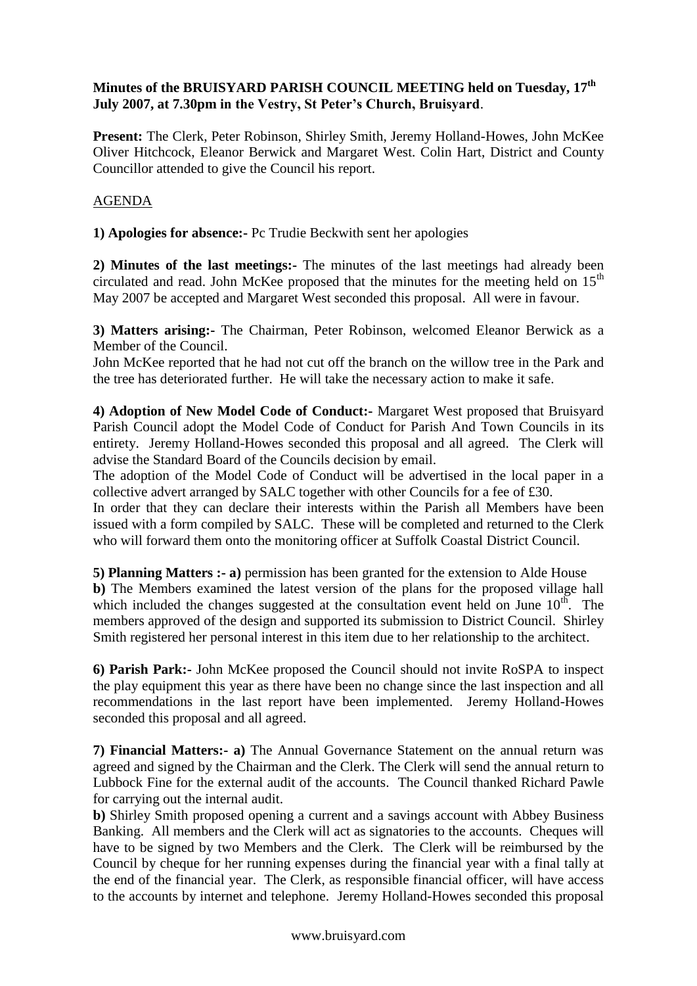## **Minutes of the BRUISYARD PARISH COUNCIL MEETING held on Tuesday, 17th July 2007, at 7.30pm in the Vestry, St Peter's Church, Bruisyard**.

**Present:** The Clerk, Peter Robinson, Shirley Smith, Jeremy Holland-Howes, John McKee Oliver Hitchcock, Eleanor Berwick and Margaret West. Colin Hart, District and County Councillor attended to give the Council his report.

## AGENDA

**1) Apologies for absence:-** Pc Trudie Beckwith sent her apologies

**2) Minutes of the last meetings:-** The minutes of the last meetings had already been circulated and read. John McKee proposed that the minutes for the meeting held on  $15<sup>th</sup>$ May 2007 be accepted and Margaret West seconded this proposal. All were in favour.

**3) Matters arising:-** The Chairman, Peter Robinson, welcomed Eleanor Berwick as a Member of the Council.

John McKee reported that he had not cut off the branch on the willow tree in the Park and the tree has deteriorated further. He will take the necessary action to make it safe.

**4) Adoption of New Model Code of Conduct:-** Margaret West proposed that Bruisyard Parish Council adopt the Model Code of Conduct for Parish And Town Councils in its entirety. Jeremy Holland-Howes seconded this proposal and all agreed. The Clerk will advise the Standard Board of the Councils decision by email.

The adoption of the Model Code of Conduct will be advertised in the local paper in a collective advert arranged by SALC together with other Councils for a fee of £30.

In order that they can declare their interests within the Parish all Members have been issued with a form compiled by SALC. These will be completed and returned to the Clerk who will forward them onto the monitoring officer at Suffolk Coastal District Council.

**5) Planning Matters :- a)** permission has been granted for the extension to Alde House **b)** The Members examined the latest version of the plans for the proposed village hall which included the changes suggested at the consultation event held on June  $10^{th}$ . The members approved of the design and supported its submission to District Council. Shirley Smith registered her personal interest in this item due to her relationship to the architect.

**6) Parish Park:-** John McKee proposed the Council should not invite RoSPA to inspect the play equipment this year as there have been no change since the last inspection and all recommendations in the last report have been implemented. Jeremy Holland-Howes seconded this proposal and all agreed.

**7) Financial Matters:- a)** The Annual Governance Statement on the annual return was agreed and signed by the Chairman and the Clerk. The Clerk will send the annual return to Lubbock Fine for the external audit of the accounts. The Council thanked Richard Pawle for carrying out the internal audit.

**b)** Shirley Smith proposed opening a current and a savings account with Abbey Business Banking. All members and the Clerk will act as signatories to the accounts. Cheques will have to be signed by two Members and the Clerk. The Clerk will be reimbursed by the Council by cheque for her running expenses during the financial year with a final tally at the end of the financial year. The Clerk, as responsible financial officer, will have access to the accounts by internet and telephone. Jeremy Holland-Howes seconded this proposal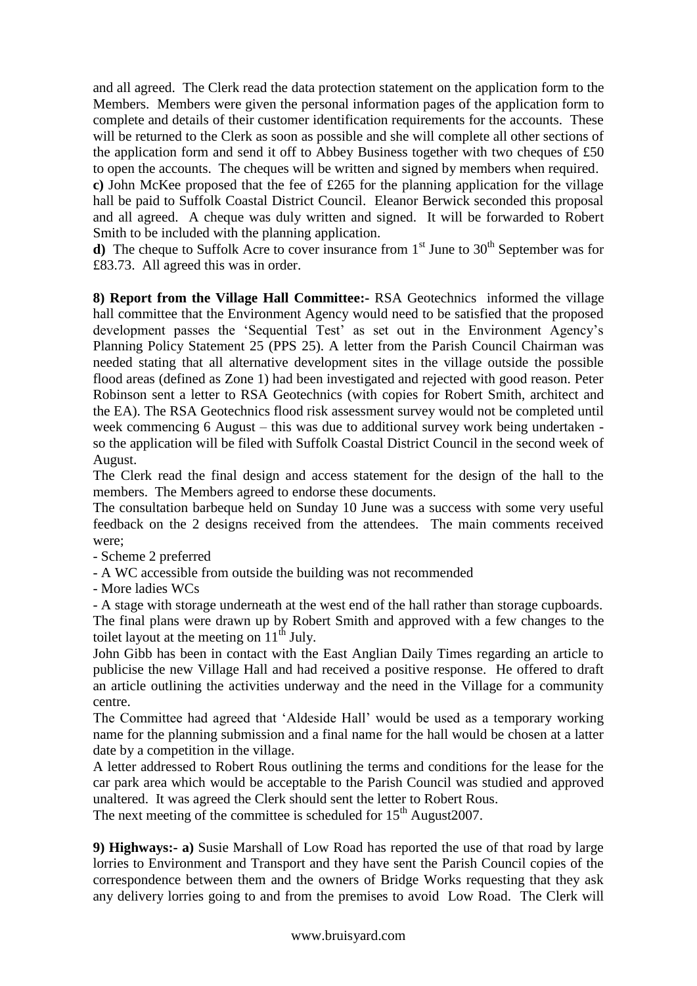and all agreed. The Clerk read the data protection statement on the application form to the Members. Members were given the personal information pages of the application form to complete and details of their customer identification requirements for the accounts. These will be returned to the Clerk as soon as possible and she will complete all other sections of the application form and send it off to Abbey Business together with two cheques of £50 to open the accounts. The cheques will be written and signed by members when required.

**c)** John McKee proposed that the fee of £265 for the planning application for the village hall be paid to Suffolk Coastal District Council. Eleanor Berwick seconded this proposal and all agreed. A cheque was duly written and signed. It will be forwarded to Robert Smith to be included with the planning application.

**d**) The cheque to Suffolk Acre to cover insurance from  $1<sup>st</sup>$  June to  $30<sup>th</sup>$  September was for £83.73. All agreed this was in order.

**8) Report from the Village Hall Committee:-** RSA Geotechnics informed the village hall committee that the Environment Agency would need to be satisfied that the proposed development passes the 'Sequential Test' as set out in the Environment Agency's Planning Policy Statement 25 (PPS 25). A letter from the Parish Council Chairman was needed stating that all alternative development sites in the village outside the possible flood areas (defined as Zone 1) had been investigated and rejected with good reason. Peter Robinson sent a letter to RSA Geotechnics (with copies for Robert Smith, architect and the EA). The RSA Geotechnics flood risk assessment survey would not be completed until week commencing 6 August – this was due to additional survey work being undertaken so the application will be filed with Suffolk Coastal District Council in the second week of August.

The Clerk read the final design and access statement for the design of the hall to the members. The Members agreed to endorse these documents.

The consultation barbeque held on Sunday 10 June was a success with some very useful feedback on the 2 designs received from the attendees. The main comments received were;

- Scheme 2 preferred
- A WC accessible from outside the building was not recommended

- More ladies WCs

- A stage with storage underneath at the west end of the hall rather than storage cupboards.

The final plans were drawn up by Robert Smith and approved with a few changes to the toilet layout at the meeting on  $11<sup>th</sup>$  July.

John Gibb has been in contact with the East Anglian Daily Times regarding an article to publicise the new Village Hall and had received a positive response. He offered to draft an article outlining the activities underway and the need in the Village for a community centre.

The Committee had agreed that 'Aldeside Hall' would be used as a temporary working name for the planning submission and a final name for the hall would be chosen at a latter date by a competition in the village.

A letter addressed to Robert Rous outlining the terms and conditions for the lease for the car park area which would be acceptable to the Parish Council was studied and approved unaltered. It was agreed the Clerk should sent the letter to Robert Rous.

The next meeting of the committee is scheduled for  $15<sup>th</sup>$  August2007.

**9) Highways:- a)** Susie Marshall of Low Road has reported the use of that road by large lorries to Environment and Transport and they have sent the Parish Council copies of the correspondence between them and the owners of Bridge Works requesting that they ask any delivery lorries going to and from the premises to avoid Low Road. The Clerk will